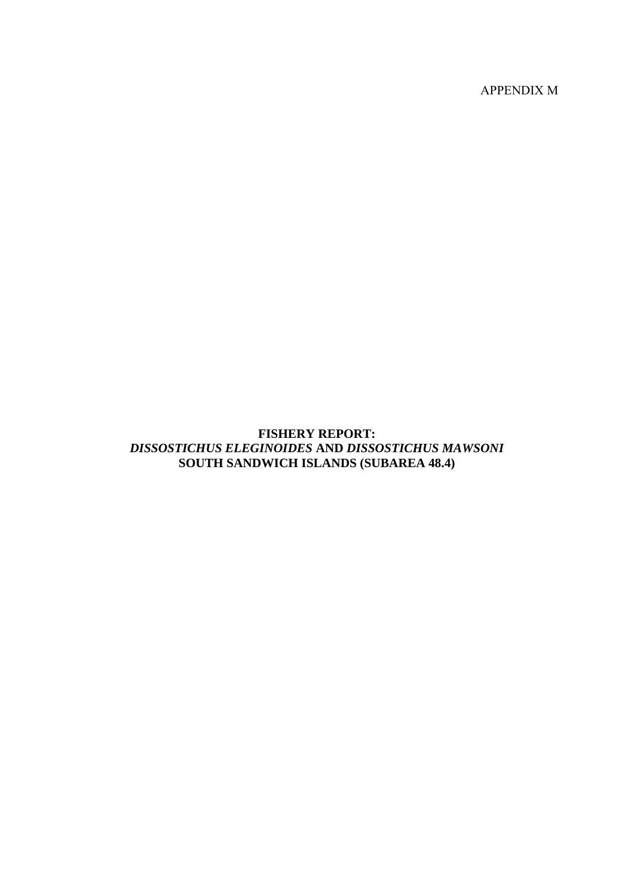APPENDIX M

# **FISHERY REPORT:**  *DISSOSTICHUS ELEGINOIDES* **AND** *DISSOSTICHUS MAWSONI* **SOUTH SANDWICH ISLANDS (SUBAREA 48.4)**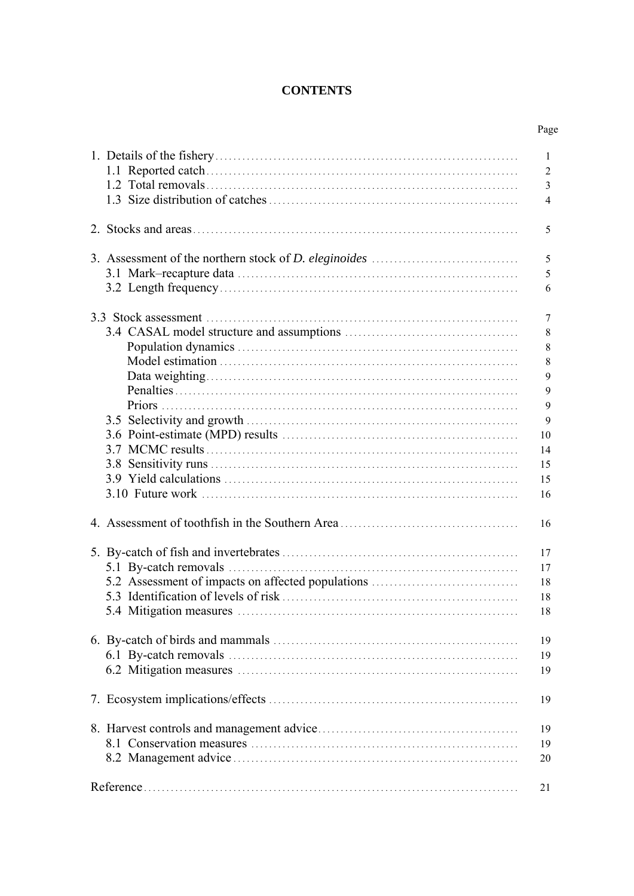# **CONTENTS**

|                                                   | Page           |
|---------------------------------------------------|----------------|
|                                                   | 1              |
|                                                   | $\overline{2}$ |
|                                                   | $\mathfrak{Z}$ |
|                                                   | $\overline{4}$ |
|                                                   | 5              |
|                                                   | 5              |
|                                                   | 5              |
|                                                   | 6              |
|                                                   |                |
|                                                   |                |
|                                                   |                |
|                                                   |                |
|                                                   |                |
|                                                   |                |
|                                                   |                |
|                                                   |                |
|                                                   |                |
|                                                   | 10             |
|                                                   | 14             |
|                                                   | 15             |
|                                                   | 15             |
|                                                   | 16             |
|                                                   | 16             |
|                                                   | 17             |
|                                                   | 17             |
| 5.2 Assessment of impacts on affected populations | 18             |
|                                                   | 18             |
|                                                   | 18             |
|                                                   | 19             |
|                                                   | 19             |
|                                                   | 19             |
|                                                   |                |
|                                                   | 19             |
|                                                   | 19             |
|                                                   | 19             |
|                                                   | 20             |
|                                                   |                |
|                                                   | 21             |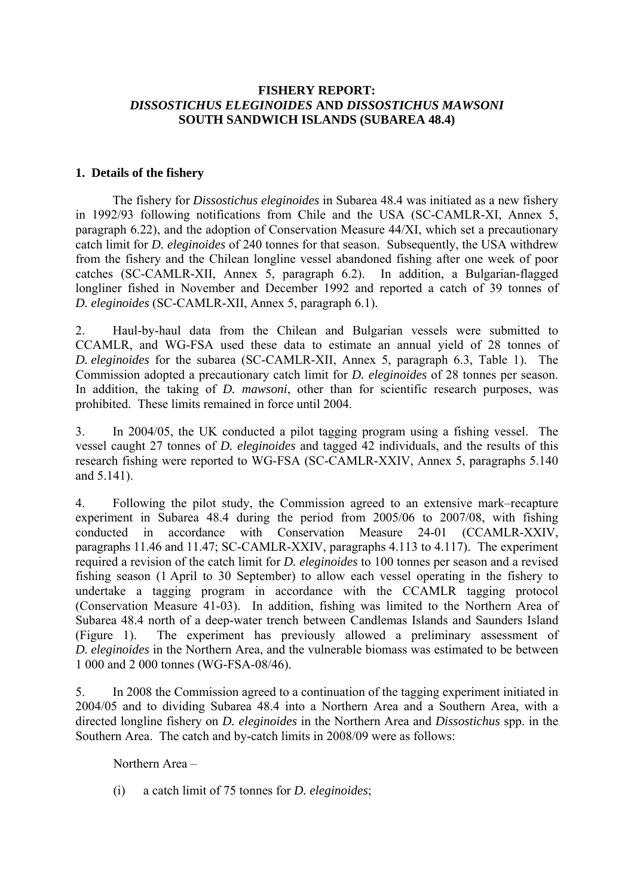# <span id="page-2-0"></span>**FISHERY REPORT:**  *DISSOSTICHUS ELEGINOIDES* **AND** *DISSOSTICHUS MAWSONI* **SOUTH SANDWICH ISLANDS (SUBAREA 48.4)**

## **1. Details of the fishery**

The fishery for *Dissostichus eleginoides* in Subarea 48.4 was initiated as a new fishery in 1992/93 following notifications from Chile and the USA (SC-CAMLR-XI, Annex 5, paragraph 6.22), and the adoption of Conservation Measure 44/XI, which set a precautionary catch limit for *D. eleginoides* of 240 tonnes for that season. Subsequently, the USA withdrew from the fishery and the Chilean longline vessel abandoned fishing after one week of poor catches (SC-CAMLR-XII, Annex 5, paragraph 6.2). In addition, a Bulgarian-flagged longliner fished in November and December 1992 and reported a catch of 39 tonnes of *D. eleginoides* (SC-CAMLR-XII, Annex 5, paragraph 6.1).

2. Haul-by-haul data from the Chilean and Bulgarian vessels were submitted to CCAMLR, and WG-FSA used these data to estimate an annual yield of 28 tonnes of *D. eleginoides* for the subarea (SC-CAMLR-XII, Annex 5, paragraph 6.3, Table 1). The Commission adopted a precautionary catch limit for *D. eleginoides* of 28 tonnes per season. In addition, the taking of *D. mawsoni*, other than for scientific research purposes, was prohibited. These limits remained in force until 2004.

3. In 2004/05, the UK conducted a pilot tagging program using a fishing vessel. The vessel caught 27 tonnes of *D. eleginoides* and tagged 42 individuals, and the results of this research fishing were reported to WG-FSA (SC-CAMLR-XXIV, Annex 5, paragraphs 5.140 and 5.141).

4. Following the pilot study, the Commission agreed to an extensive mark–recapture experiment in Subarea 48.4 during the period from 2005/06 to 2007/08, with fishing conducted in accordance with Conservation Measure 24-01 (CCAMLR-XXIV, paragraphs 11.46 and 11.47; SC-CAMLR-XXIV, paragraphs 4.113 to 4.117). The experiment required a revision of the catch limit for *D. eleginoides* to 100 tonnes per season and a revised fishing season (1 April to 30 September) to allow each vessel operating in the fishery to undertake a tagging program in accordance with the CCAMLR tagging protocol (Conservation Measure 41-03). In addition, fishing was limited to the Northern Area of Subarea 48.4 north of a deep-water trench between Candlemas Islands and Saunders Island (Figure 1). The experiment has previously allowed a preliminary assessment of *D. eleginoides* in the Northern Area, and the vulnerable biomass was estimated to be between 1 000 and 2 000 tonnes (WG-FSA-08/46).

5. In 2008 the Commission agreed to a continuation of the tagging experiment initiated in 2004/05 and to dividing Subarea 48.4 into a Northern Area and a Southern Area, with a directed longline fishery on *D. eleginoides* in the Northern Area and *Dissostichus* spp. in the Southern Area. The catch and by-catch limits in 2008/09 were as follows:

Northern Area –

(i) a catch limit of 75 tonnes for *D. eleginoides*;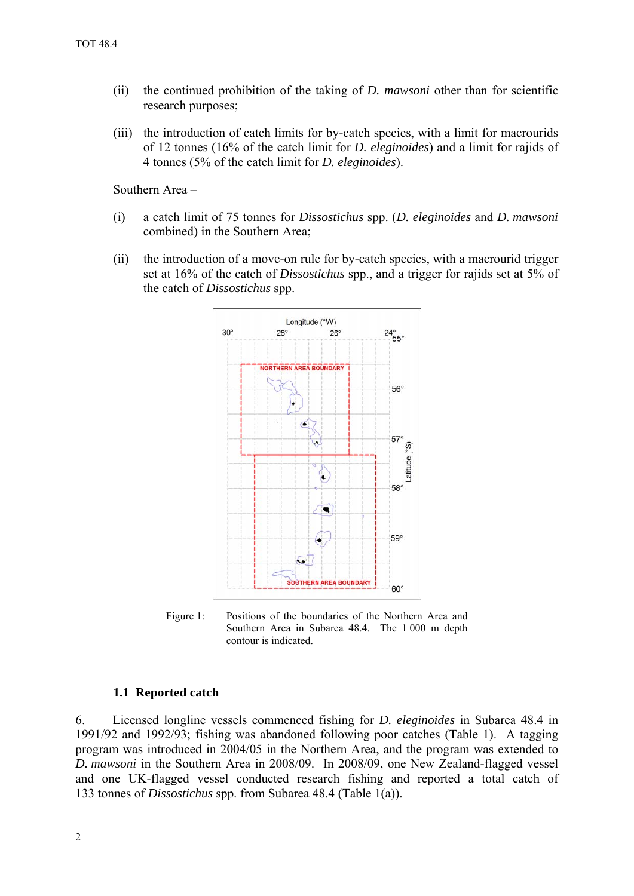- <span id="page-3-0"></span>(ii) the continued prohibition of the taking of *D. mawsoni* other than for scientific research purposes;
- (iii) the introduction of catch limits for by-catch species, with a limit for macrourids of 12 tonnes (16% of the catch limit for *D. eleginoides*) and a limit for rajids of 4 tonnes (5% of the catch limit for *D. eleginoides*).

Southern Area –

- (i) a catch limit of 75 tonnes for *Dissostichus* spp. (*D. eleginoides* and *D. mawsoni* combined) in the Southern Area;
- (ii) the introduction of a move-on rule for by-catch species, with a macrourid trigger set at 16% of the catch of *Dissostichus* spp., and a trigger for rajids set at 5% of the catch of *Dissostichus* spp.



Figure 1: Positions of the boundaries of the Northern Area and Southern Area in Subarea 48.4. The 1 000 m depth contour is indicated.

#### **1.1 Reported catch**

6. Licensed longline vessels commenced fishing for *D. eleginoides* in Subarea 48.4 in 1991/92 and 1992/93; fishing was abandoned following poor catches (Table 1). A tagging program was introduced in 2004/05 in the Northern Area, and the program was extended to *D. mawsoni* in the Southern Area in 2008/09. In 2008/09, one New Zealand-flagged vessel and one UK-flagged vessel conducted research fishing and reported a total catch of 133 tonnes of *Dissostichus* spp. from Subarea 48.4 (Table 1(a)).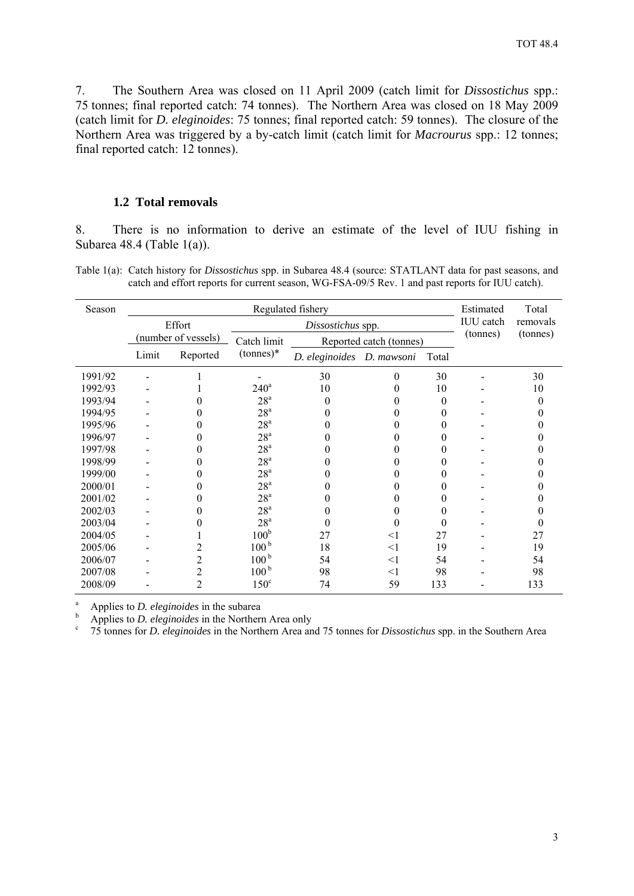<span id="page-4-0"></span>7. The Southern Area was closed on 11 April 2009 (catch limit for *Dissostichus* spp.: 75 tonnes; final reported catch: 74 tonnes). The Northern Area was closed on 18 May 2009 (catch limit for *D. eleginoides*: 75 tonnes; final reported catch: 59 tonnes). The closure of the Northern Area was triggered by a by-catch limit (catch limit for *Macrourus* spp.: 12 tonnes; final reported catch: 12 tonnes).

#### **1.2 Total removals**

8. There is no information to derive an estimate of the level of IUU fishing in Subarea 48.4 (Table 1(a)).

Table 1(a): Catch history for *Dissostichus* spp. in Subarea 48.4 (source: STATLANT data for past seasons, and catch and effort reports for current season, WG-FSA-09/5 Rev. 1 and past reports for IUU catch).

| Season  | Regulated fishery |                     |                  |                           |                         | Estimated<br><b>IUU</b> catch | Total    |          |
|---------|-------------------|---------------------|------------------|---------------------------|-------------------------|-------------------------------|----------|----------|
|         | Effort            |                     |                  | Dissostichus spp.         |                         |                               | removals |          |
|         |                   | (number of vessels) | Catch limit      |                           | Reported catch (tonnes) |                               | (tonnes) | (tonnes) |
|         | Limit             | Reported            | $(tonnes)*$      | D. eleginoides D. mawsoni |                         | Total                         |          |          |
| 1991/92 |                   |                     |                  | 30                        | $\theta$                | 30                            |          | 30       |
| 1992/93 |                   |                     | $240^{\circ}$    | 10                        | $\theta$                | 10                            |          | 10       |
| 1993/94 |                   |                     | 28 <sup>a</sup>  | $\theta$                  |                         | 0                             |          | $\theta$ |
| 1994/95 |                   | 0                   | 28 <sup>a</sup>  | 0                         | 0                       | 0                             |          | 0        |
| 1995/96 |                   | 0                   | 28 <sup>a</sup>  |                           | $\theta$                | 0                             |          |          |
| 1996/97 |                   | 0                   | 28 <sup>a</sup>  |                           | $\theta$                | $_{0}$                        |          |          |
| 1997/98 |                   | 0                   | 28 <sup>a</sup>  |                           |                         | $_{0}$                        |          |          |
| 1998/99 |                   | 0                   | 28 <sup>a</sup>  |                           |                         | $_{0}$                        |          |          |
| 1999/00 |                   | 0                   | 28 <sup>a</sup>  |                           | 0                       | $_{0}$                        |          |          |
| 2000/01 |                   | 0                   | 28 <sup>a</sup>  |                           |                         | $_{0}$                        |          |          |
| 2001/02 |                   | 0                   | 28 <sup>a</sup>  |                           |                         | $_{0}$                        |          |          |
| 2002/03 |                   |                     | 28 <sup>a</sup>  |                           |                         | $_{0}$                        |          |          |
| 2003/04 |                   |                     | 28 <sup>a</sup>  | $\theta$                  | 0                       | 0                             |          |          |
| 2004/05 |                   |                     | 100 <sup>b</sup> | 27                        | $<$ 1                   | 27                            |          | 27       |
| 2005/06 |                   | 2                   | 100 <sup>b</sup> | 18                        | $<$ 1                   | 19                            |          | 19       |
| 2006/07 |                   | 2                   | 100 <sup>b</sup> | 54                        | $<$ 1                   | 54                            |          | 54       |
| 2007/08 |                   | 2                   | 100 <sup>b</sup> | 98                        | $<$ 1                   | 98                            |          | 98       |
| 2008/09 |                   | $\overline{c}$      | $150^\circ$      | 74                        | 59                      | 133                           |          | 133      |

a <sup>a</sup> Applies to *D. eleginoides* in the subarea

Applies to *D. eleginoides* in the Northern Area only

75 tonnes for *D. eleginoides* in the Northern Area and 75 tonnes for *Dissostichus* spp. in the Southern Area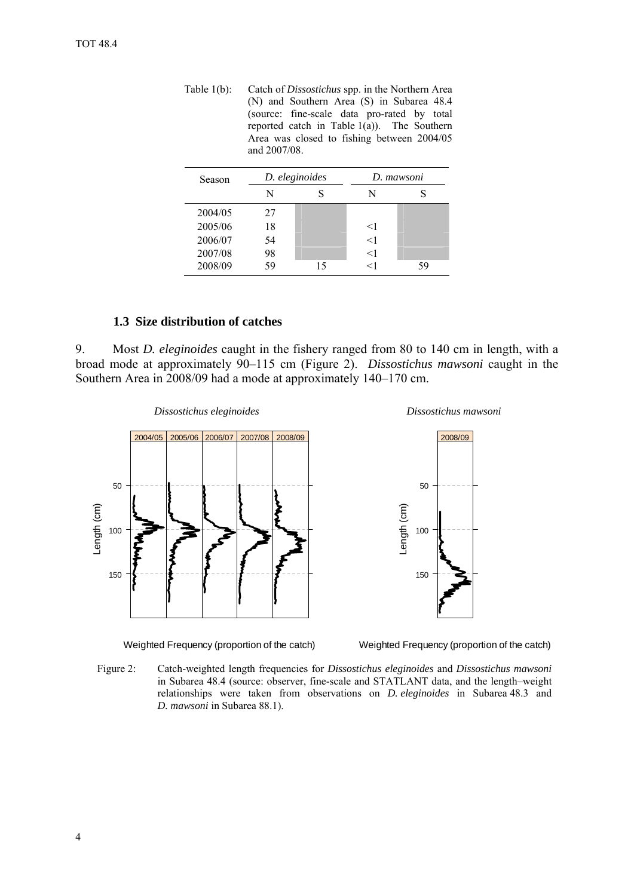<span id="page-5-0"></span>Table 1(b): Catch of *Dissostichus* spp. in the Northern Area (N) and Southern Area (S) in Subarea 48.4 (source: fine-scale data pro-rated by total reported catch in Table  $1(a)$ ). The Southern Area was closed to fishing between 2004/05 and 2007/08.

| Season  | D. eleginoides |    |       | D. mawsoni |
|---------|----------------|----|-------|------------|
|         | N              |    | N     |            |
| 2004/05 | 27             |    |       |            |
| 2005/06 | 18             |    | $<$ 1 |            |
| 2006/07 | 54             |    | $<$ 1 |            |
| 2007/08 | 98             |    | $<$ 1 |            |
| 2008/09 | 59             | 15 | ←1    | 59         |

# **1.3 Size distribution of catches**

9. Most *D. eleginoides* caught in the fishery ranged from 80 to 140 cm in length, with a broad mode at approximately 90–115 cm (Figure 2). *Dissostichus mawsoni* caught in the Southern Area in 2008/09 had a mode at approximately 140–170 cm.



Weighted Frequency (proportion of the catch)



Figure 2: Catch-weighted length frequencies for *Dissostichus eleginoides* and *Dissostichus mawsoni* in Subarea 48.4 (source: observer, fine-scale and STATLANT data, and the length–weight relationships were taken from observations on *D. eleginoides* in Subarea 48.3 and *D. mawsoni* in Subarea 88.1).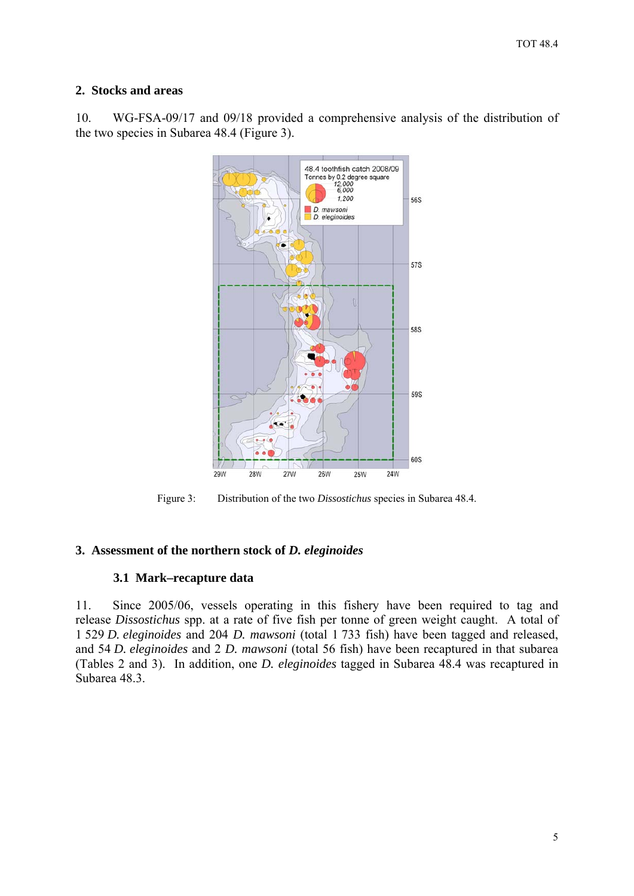# <span id="page-6-0"></span>**2. Stocks and areas**

10. WG-FSA-09/17 and 09/18 provided a comprehensive analysis of the distribution of the two species in Subarea 48.4 (Figure 3).



Figure 3: Distribution of the two *Dissostichus* species in Subarea 48.4.

# **3. Assessment of the northern stock of** *D. eleginoides*

# **3.1 Mark–recapture data**

11. Since 2005/06, vessels operating in this fishery have been required to tag and release *Dissostichus* spp. at a rate of five fish per tonne of green weight caught. A total of 1 529 *D. eleginoides* and 204 *D. mawsoni* (total 1 733 fish) have been tagged and released, and 54 *D. eleginoides* and 2 *D. mawsoni* (total 56 fish) have been recaptured in that subarea (Tables 2 and 3). In addition, one *D. eleginoides* tagged in Subarea 48.4 was recaptured in Subarea 48.3.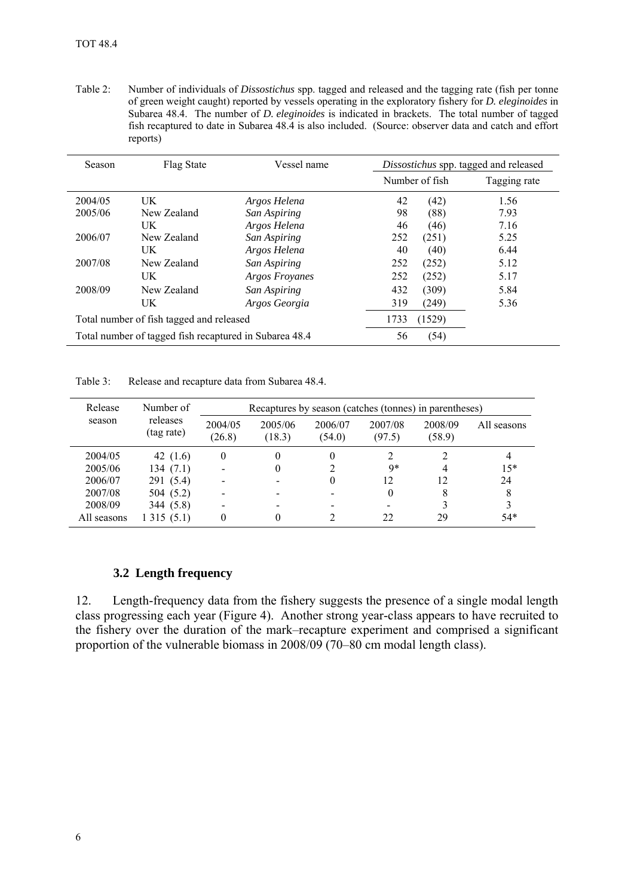<span id="page-7-0"></span>Table 2: Number of individuals of *Dissostichus* spp. tagged and released and the tagging rate (fish per tonne of green weight caught) reported by vessels operating in the exploratory fishery for *D. eleginoides* in Subarea 48.4. The number of *D. eleginoides* is indicated in brackets. The total number of tagged fish recaptured to date in Subarea 48.4 is also included. (Source: observer data and catch and effort reports)

| <b>Season</b> | Flag State                                             | Vessel name    |      |                | Dissostichus spp. tagged and released |
|---------------|--------------------------------------------------------|----------------|------|----------------|---------------------------------------|
|               |                                                        |                |      | Number of fish | Tagging rate                          |
| 2004/05       | UK                                                     | Argos Helena   | 42   | (42)           | 1.56                                  |
| 2005/06       | New Zealand                                            | San Aspiring   | 98   | (88)           | 7.93                                  |
|               | UK                                                     | Argos Helena   | 46   | (46)           | 7.16                                  |
| 2006/07       | New Zealand                                            | San Aspiring   | 252  | (251)          | 5.25                                  |
|               | UK                                                     | Argos Helena   | 40   | (40)           | 6.44                                  |
| 2007/08       | New Zealand                                            | San Aspiring   | 252  | (252)          | 5.12                                  |
|               | UK                                                     | Argos Froyanes | 252  | (252)          | 5.17                                  |
| 2008/09       | New Zealand                                            | San Aspiring   | 432  | (309)          | 5.84                                  |
|               | UK                                                     | Argos Georgia  | 319  | (249)          | 5.36                                  |
|               | Total number of fish tagged and released               |                | 1733 | (1529)         |                                       |
|               | Total number of tagged fish recaptured in Subarea 48.4 |                | 56   | (54)           |                                       |

Table 3: Release and recapture data from Subarea 48.4.

| Release     | Number of              | Recaptures by season (catches (tonnes) in parentheses) |                   |                   |                   |                   |             |
|-------------|------------------------|--------------------------------------------------------|-------------------|-------------------|-------------------|-------------------|-------------|
| season      | releases<br>(tag rate) | 2004/05<br>(26.8)                                      | 2005/06<br>(18.3) | 2006/07<br>(54.0) | 2007/08<br>(97.5) | 2008/09<br>(58.9) | All seasons |
| 2004/05     | 42 $(1.6)$             | $\theta$                                               |                   | 0                 |                   |                   | 4           |
| 2005/06     | 134(7.1)               |                                                        |                   | 2                 | 9*                | 4                 | $15*$       |
| 2006/07     | 291 (5.4)              |                                                        |                   | 0                 | 12                | 12                | 24          |
| 2007/08     | 504 (5.2)              |                                                        |                   |                   |                   | 8                 | 8           |
| 2008/09     | 344 (5.8)              |                                                        |                   |                   |                   | 3                 |             |
| All seasons | 1315(5.1)              | 0                                                      |                   |                   | 22                | 29                | $54*$       |

#### **3.2 Length frequency**

12. Length-frequency data from the fishery suggests the presence of a single modal length class progressing each year (Figure 4). Another strong year-class appears to have recruited to the fishery over the duration of the mark–recapture experiment and comprised a significant proportion of the vulnerable biomass in 2008/09 (70–80 cm modal length class).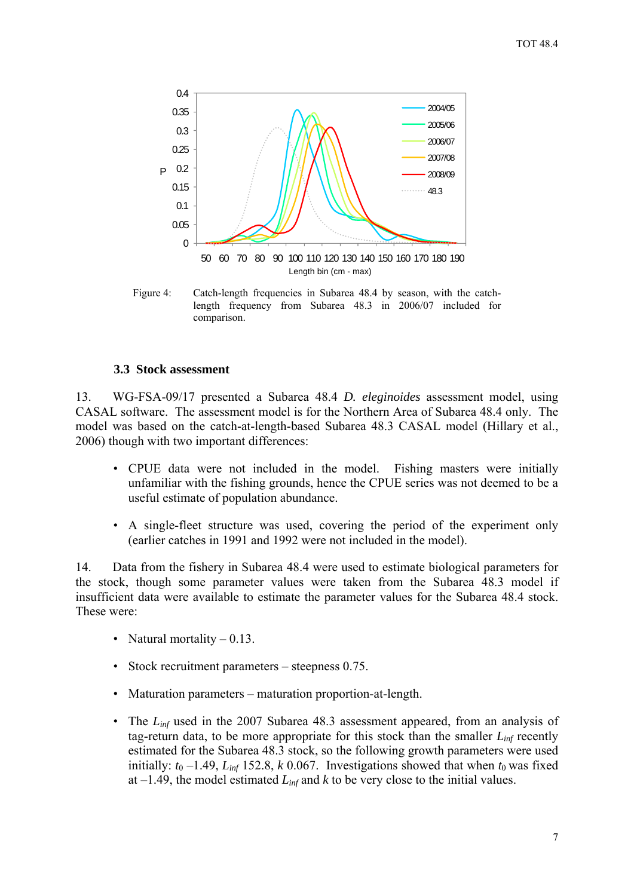<span id="page-8-0"></span>

Figure 4: Catch-length frequencies in Subarea 48.4 by season, with the catchlength frequency from Subarea 48.3 in 2006/07 included for comparison.

#### **3.3 Stock assessment**

13. WG-FSA-09/17 presented a Subarea 48.4 *D. eleginoides* assessment model, using CASAL software. The assessment model is for the Northern Area of Subarea 48.4 only. The model was based on the catch-at-length-based Subarea 48.3 CASAL model (Hillary et al., 2006) though with two important differences:

- CPUE data were not included in the model. Fishing masters were initially unfamiliar with the fishing grounds, hence the CPUE series was not deemed to be a useful estimate of population abundance.
- A single-fleet structure was used, covering the period of the experiment only (earlier catches in 1991 and 1992 were not included in the model).

14. Data from the fishery in Subarea 48.4 were used to estimate biological parameters for the stock, though some parameter values were taken from the Subarea 48.3 model if insufficient data were available to estimate the parameter values for the Subarea 48.4 stock. These were:

- Natural mortality  $-0.13$ .
- Stock recruitment parameters steepness 0.75.
- Maturation parameters maturation proportion-at-length.
- The *L<sub>inf</sub>* used in the 2007 Subarea 48.3 assessment appeared, from an analysis of tag-return data, to be more appropriate for this stock than the smaller  $L_{inf}$  recently estimated for the Subarea 48.3 stock, so the following growth parameters were used initially:  $t_0$  –1.49,  $L_{inf}$  152.8, *k* 0.067. Investigations showed that when  $t_0$  was fixed at  $-1.49$ , the model estimated  $L_{inf}$  and  $k$  to be very close to the initial values.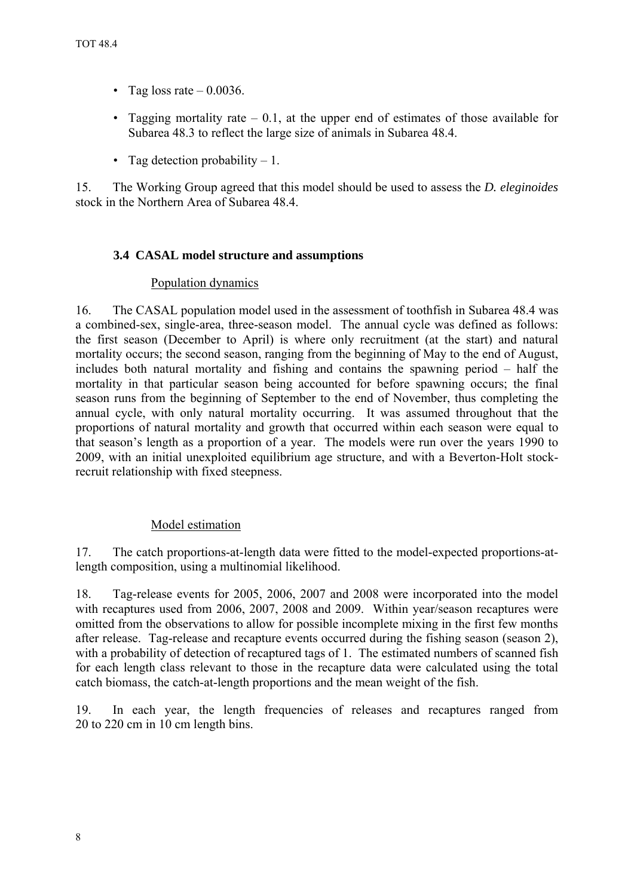- <span id="page-9-0"></span>• Tag loss rate  $-0.0036$ .
- Tagging mortality rate  $-0.1$ , at the upper end of estimates of those available for Subarea 48.3 to reflect the large size of animals in Subarea 48.4.
- Tag detection probability  $-1$ .

15. The Working Group agreed that this model should be used to assess the *D. eleginoides* stock in the Northern Area of Subarea 48.4.

# **3.4 CASAL model structure and assumptions**

# Population dynamics

16. The CASAL population model used in the assessment of toothfish in Subarea 48.4 was a combined-sex, single-area, three-season model. The annual cycle was defined as follows: the first season (December to April) is where only recruitment (at the start) and natural mortality occurs; the second season, ranging from the beginning of May to the end of August, includes both natural mortality and fishing and contains the spawning period – half the mortality in that particular season being accounted for before spawning occurs; the final season runs from the beginning of September to the end of November, thus completing the annual cycle, with only natural mortality occurring. It was assumed throughout that the proportions of natural mortality and growth that occurred within each season were equal to that season's length as a proportion of a year. The models were run over the years 1990 to 2009, with an initial unexploited equilibrium age structure, and with a Beverton-Holt stockrecruit relationship with fixed steepness.

# Model estimation

17. The catch proportions-at-length data were fitted to the model-expected proportions-atlength composition, using a multinomial likelihood.

18. Tag-release events for 2005, 2006, 2007 and 2008 were incorporated into the model with recaptures used from 2006, 2007, 2008 and 2009. Within year/season recaptures were omitted from the observations to allow for possible incomplete mixing in the first few months after release. Tag-release and recapture events occurred during the fishing season (season 2), with a probability of detection of recaptured tags of 1. The estimated numbers of scanned fish for each length class relevant to those in the recapture data were calculated using the total catch biomass, the catch-at-length proportions and the mean weight of the fish.

19. In each year, the length frequencies of releases and recaptures ranged from 20 to 220 cm in 10 cm length bins.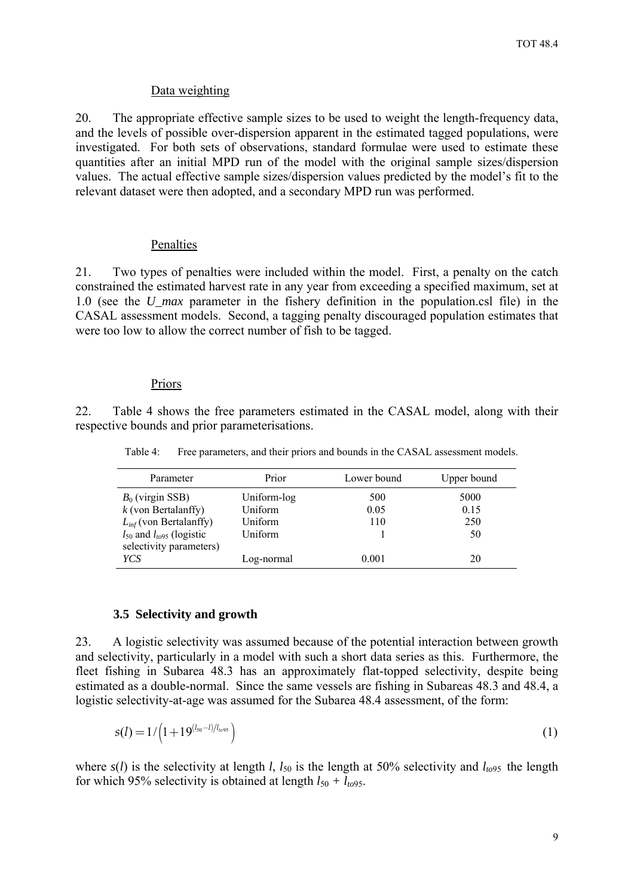#### Data weighting

<span id="page-10-0"></span>20. The appropriate effective sample sizes to be used to weight the length-frequency data, and the levels of possible over-dispersion apparent in the estimated tagged populations, were investigated. For both sets of observations, standard formulae were used to estimate these quantities after an initial MPD run of the model with the original sample sizes/dispersion values. The actual effective sample sizes/dispersion values predicted by the model's fit to the relevant dataset were then adopted, and a secondary MPD run was performed.

#### Penalties

21. Two types of penalties were included within the model. First, a penalty on the catch constrained the estimated harvest rate in any year from exceeding a specified maximum, set at 1.0 (see the *U\_max* parameter in the fishery definition in the population.csl file) in the CASAL assessment models. Second, a tagging penalty discouraged population estimates that were too low to allow the correct number of fish to be tagged.

### **Priors**

22. Table 4 shows the free parameters estimated in the CASAL model, along with their respective bounds and prior parameterisations.

Table 4: Free parameters, and their priors and bounds in the CASAL assessment models.

| Parameter                          | Prior       | Lower bound | Upper bound |
|------------------------------------|-------------|-------------|-------------|
| $B_0$ (virgin SSB)                 | Uniform-log | 500         | 5000        |
| $k$ (von Bertalanffy)              | Uniform     | 0.05        | 0.15        |
| $L_{inf}$ (von Bertalanffy)        | Uniform     | 110         | 250         |
| $l_{50}$ and $l_{to 95}$ (logistic | Uniform     |             | 50          |
| selectivity parameters)            |             |             |             |
| YCS                                | Log-normal  | 0.001       | 20          |
|                                    |             |             |             |

#### **3.5 Selectivity and growth**

23. A logistic selectivity was assumed because of the potential interaction between growth and selectivity, particularly in a model with such a short data series as this. Furthermore, the fleet fishing in Subarea 48.3 has an approximately flat-topped selectivity, despite being estimated as a double-normal. Since the same vessels are fishing in Subareas 48.3 and 48.4, a logistic selectivity-at-age was assumed for the Subarea 48.4 assessment, of the form:

$$
s(l) = 1/\left(1+19^{(l_{50}-l)/l_{t095}}\right)
$$
 (1)

where  $s(l)$  is the selectivity at length *l*,  $l_{50}$  is the length at 50% selectivity and  $l_{t095}$  the length for which 95% selectivity is obtained at length  $l_{50} + l_{to}$ 95.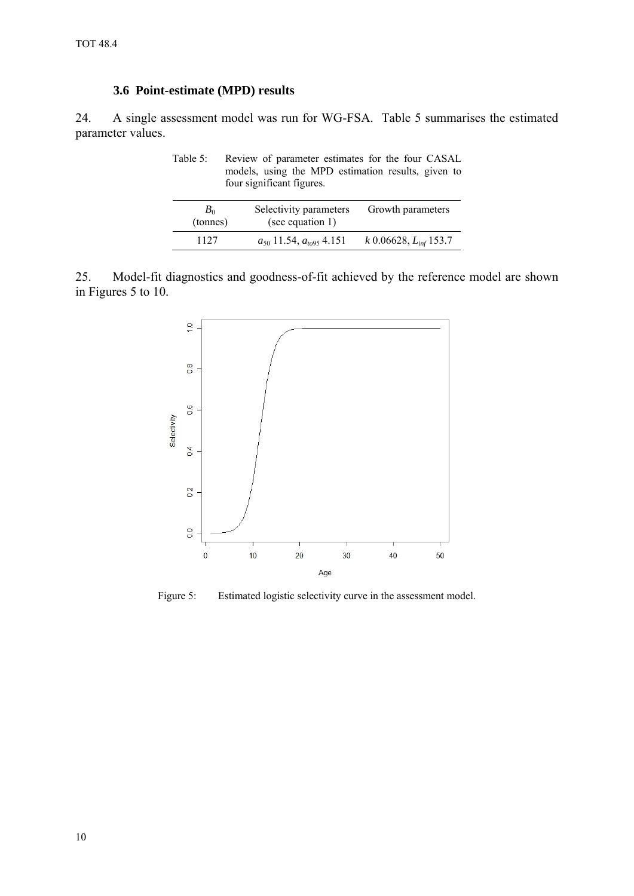# **3.6 Point-estimate (MPD) results**

<span id="page-11-0"></span>24. A single assessment model was run for WG-FSA. Table 5 summarises the estimated parameter values.

Table 5: Review of parameter estimates for the four CASAL models, using the MPD estimation results, given to four significant figures.

| $B_0$<br>(tonnes) | Selectivity parameters<br>(see equation 1) | Growth parameters            |
|-------------------|--------------------------------------------|------------------------------|
| 1127              | $a_{50}$ 11.54, $a_{t095}$ 4.151           | $k$ 0.06628, $L_{inf}$ 153.7 |

25. Model-fit diagnostics and goodness-of-fit achieved by the reference model are shown in Figures 5 to 10.



Figure 5: Estimated logistic selectivity curve in the assessment model.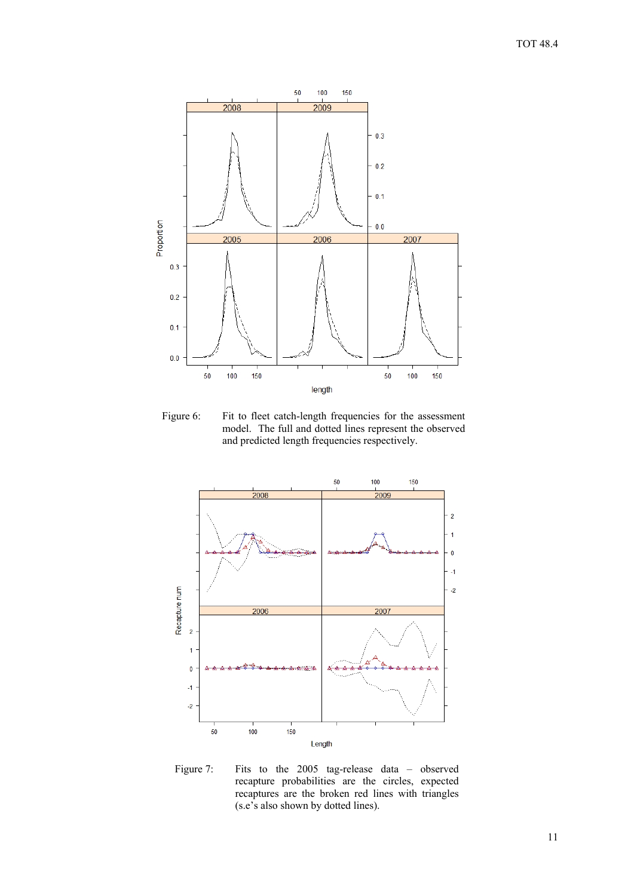

Figure 6: Fit to fleet catch-length frequencies for the assessment model. The full and dotted lines represent the observed and predicted length frequencies respectively.



Figure 7: Fits to the 2005 tag-release data – observed recapture probabilities are the circles, expected recaptures are the broken red lines with triangles (s.e's also shown by dotted lines).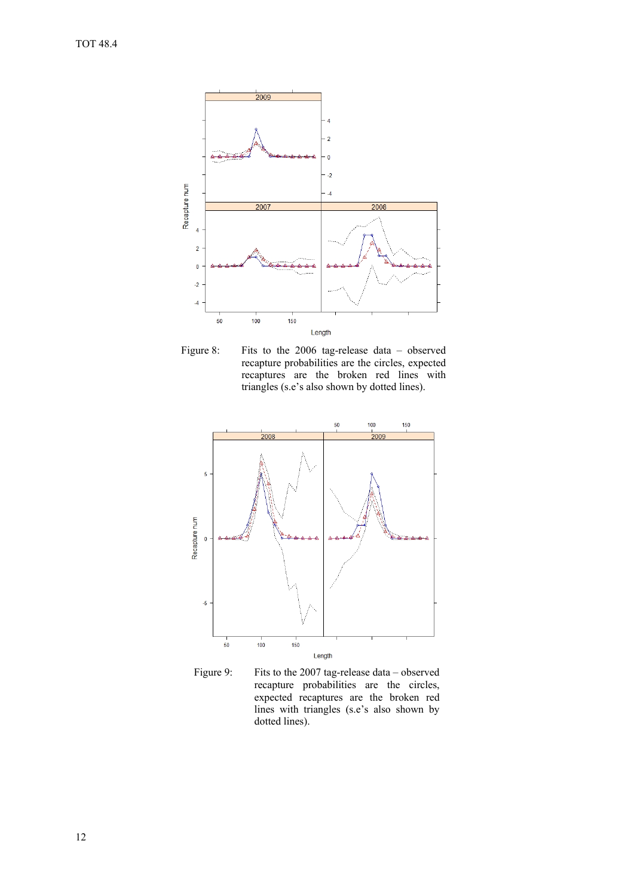

Figure 8: Fits to the 2006 tag-release data – observed recapture probabilities are the circles, expected recaptures are the broken red lines with triangles (s.e's also shown by dotted lines).



Figure 9: Fits to the 2007 tag-release data – observed recapture probabilities are the circles, expected recaptures are the broken red lines with triangles (s.e's also shown by dotted lines).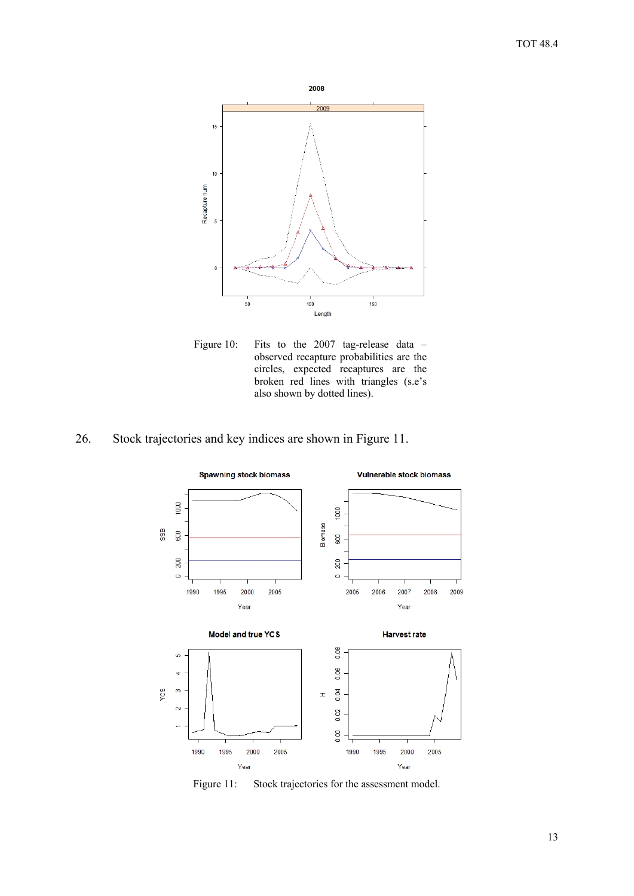

Figure 10: Fits to the 2007 tag-release data – observed recapture probabilities are the circles, expected recaptures are the broken red lines with triangles (s.e's also shown by dotted lines).

# 26. Stock trajectories and key indices are shown in Figure 11.



Figure 11: Stock trajectories for the assessment model.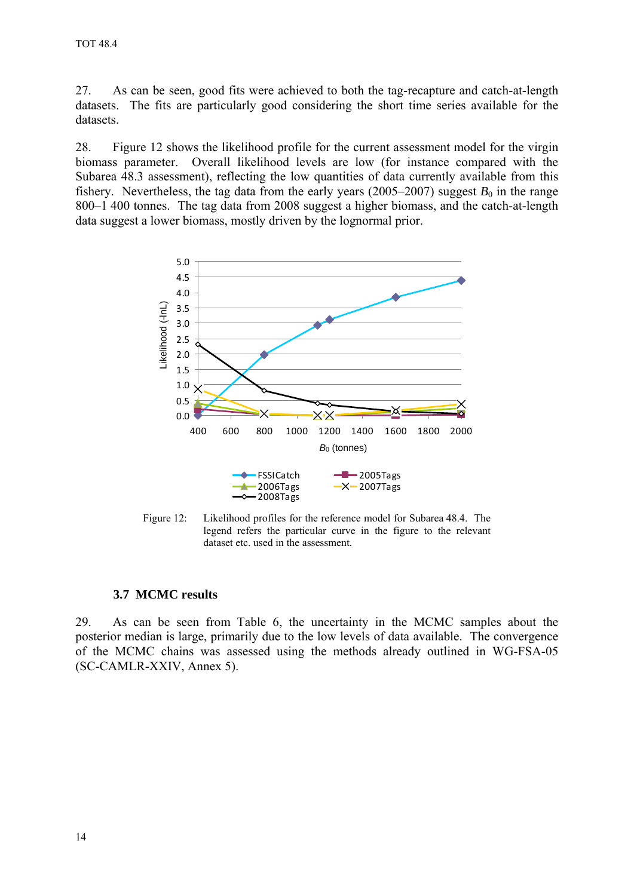<span id="page-15-0"></span>27. As can be seen, good fits were achieved to both the tag-recapture and catch-at-length datasets. The fits are particularly good considering the short time series available for the datasets.

28. Figure 12 shows the likelihood profile for the current assessment model for the virgin biomass parameter. Overall likelihood levels are low (for instance compared with the Subarea 48.3 assessment), reflecting the low quantities of data currently available from this fishery. Nevertheless, the tag data from the early years (2005–2007) suggest  $B_0$  in the range 800–1 400 tonnes. The tag data from 2008 suggest a higher biomass, and the catch-at-length data suggest a lower biomass, mostly driven by the lognormal prior.



Figure 12: Likelihood profiles for the reference model for Subarea 48.4. The legend refers the particular curve in the figure to the relevant dataset etc. used in the assessment.

#### **3.7 MCMC results**

29. As can be seen from Table 6, the uncertainty in the MCMC samples about the posterior median is large, primarily due to the low levels of data available. The convergence of the MCMC chains was assessed using the methods already outlined in WG-FSA-05 (SC-CAMLR-XXIV, Annex 5).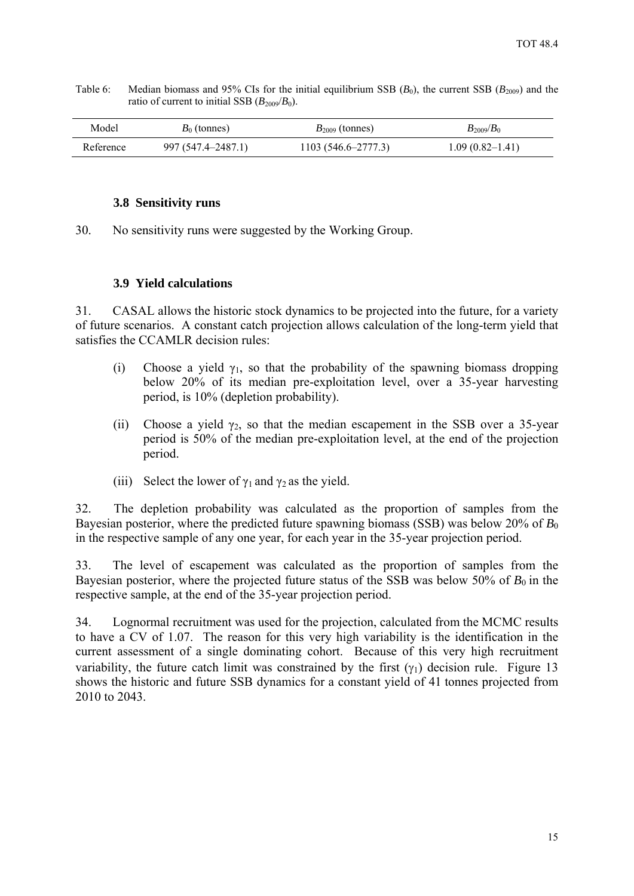<span id="page-16-0"></span>Table 6: Median biomass and 95% CIs for the initial equilibrium SSB  $(B_0)$ , the current SSB  $(B_{2009})$  and the ratio of current to initial SSB  $(B_{2009}/B_0)$ .

| Model     | $B_0$ (tonnes)     | $B_{2009}$ (tonnes)    | $B_{2009}/B_0$      |
|-----------|--------------------|------------------------|---------------------|
| Reference | 997 (547.4–2487.1) | $1103(546.6 - 2777.3)$ | $1.09(0.82 - 1.41)$ |

#### **3.8 Sensitivity runs**

30. No sensitivity runs were suggested by the Working Group.

### **3.9 Yield calculations**

31. CASAL allows the historic stock dynamics to be projected into the future, for a variety of future scenarios. A constant catch projection allows calculation of the long-term yield that satisfies the CCAMLR decision rules:

- (i) Choose a yield  $\gamma_1$ , so that the probability of the spawning biomass dropping below 20% of its median pre-exploitation level, over a 35-year harvesting period, is 10% (depletion probability).
- (ii) Choose a yield  $\gamma_2$ , so that the median escapement in the SSB over a 35-year period is 50% of the median pre-exploitation level, at the end of the projection period.
- (iii) Select the lower of  $\gamma_1$  and  $\gamma_2$  as the yield.

32. The depletion probability was calculated as the proportion of samples from the Bayesian posterior, where the predicted future spawning biomass (SSB) was below 20% of *B*<sub>0</sub> in the respective sample of any one year, for each year in the 35-year projection period.

33. The level of escapement was calculated as the proportion of samples from the Bayesian posterior, where the projected future status of the SSB was below 50% of  $B_0$  in the respective sample, at the end of the 35-year projection period.

34. Lognormal recruitment was used for the projection, calculated from the MCMC results to have a CV of 1.07. The reason for this very high variability is the identification in the current assessment of a single dominating cohort. Because of this very high recruitment variability, the future catch limit was constrained by the first  $(\gamma_1)$  decision rule. Figure 13 shows the historic and future SSB dynamics for a constant yield of 41 tonnes projected from 2010 to 2043.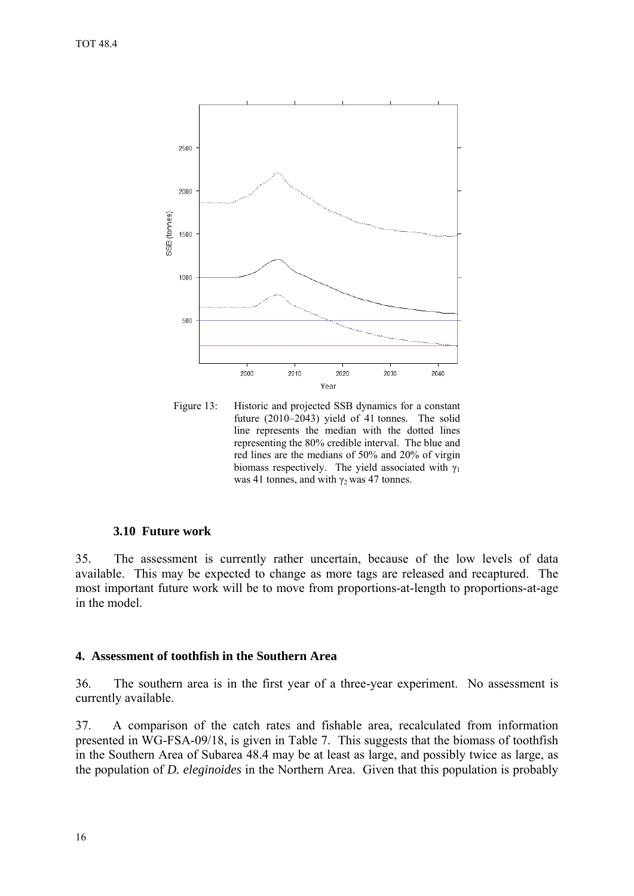<span id="page-17-0"></span>

Figure 13: Historic and projected SSB dynamics for a constant future (2010–2043) yield of 41 tonnes. The solid line represents the median with the dotted lines representing the 80% credible interval. The blue and red lines are the medians of 50% and 20% of virgin biomass respectively. The yield associated with  $\gamma_1$ was 41 tonnes, and with  $\gamma_2$  was 47 tonnes.

# **3.10 Future work**

35. The assessment is currently rather uncertain, because of the low levels of data available. This may be expected to change as more tags are released and recaptured. The most important future work will be to move from proportions-at-length to proportions-at-age in the model.

#### **4. Assessment of toothfish in the Southern Area**

36. The southern area is in the first year of a three-year experiment. No assessment is currently available.

37. A comparison of the catch rates and fishable area, recalculated from information presented in WG-FSA-09/18, is given in Table 7. This suggests that the biomass of toothfish in the Southern Area of Subarea 48.4 may be at least as large, and possibly twice as large, as the population of *D. eleginoides* in the Northern Area. Given that this population is probably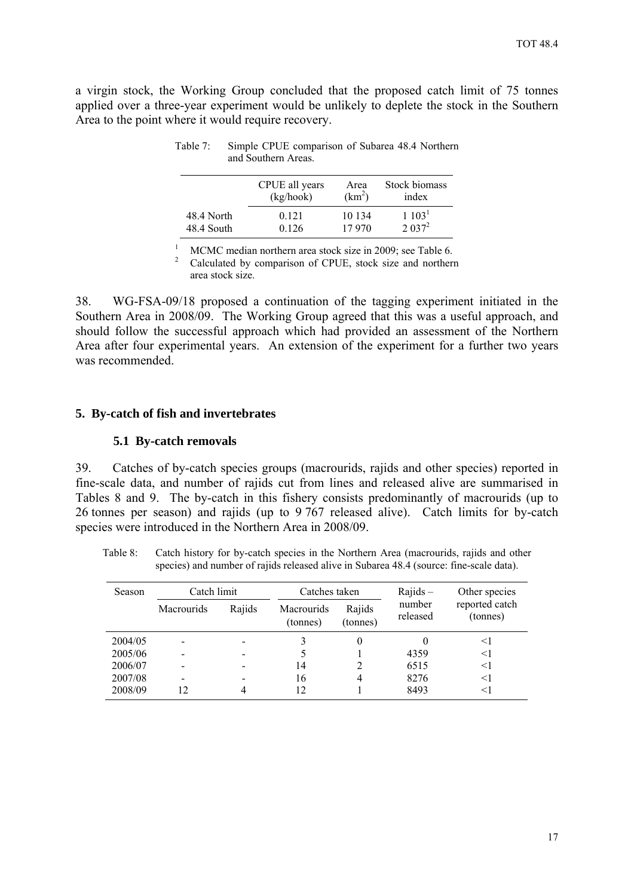<span id="page-18-0"></span>a virgin stock, the Working Group concluded that the proposed catch limit of 75 tonnes applied over a three-year experiment would be unlikely to deplete the stock in the Southern Area to the point where it would require recovery.

|            | CPUE all years | Area               | Stock biomass      |
|------------|----------------|--------------------|--------------------|
|            | (kg/hook)      | (km <sup>2</sup> ) | index              |
| 48.4 North | 0.121          | 10 134             | 1~103 <sup>1</sup> |
| 48.4 South | 0 1 2 6        | 17 970             | 2.037 <sup>2</sup> |

Table 7: Simple CPUE comparison of Subarea 48.4 Northern and Southern Areas.

1 MCMC median northern area stock size in 2009; see Table 6.

<sup>2</sup> Calculated by comparison of CPUE, stock size and northern area stock size.

38. WG-FSA-09/18 proposed a continuation of the tagging experiment initiated in the Southern Area in 2008/09. The Working Group agreed that this was a useful approach, and should follow the successful approach which had provided an assessment of the Northern Area after four experimental years. An extension of the experiment for a further two years was recommended.

## **5. By-catch of fish and invertebrates**

#### **5.1 By-catch removals**

39. Catches of by-catch species groups (macrourids, rajids and other species) reported in fine-scale data, and number of rajids cut from lines and released alive are summarised in Tables 8 and 9. The by-catch in this fishery consists predominantly of macrourids (up to 26 tonnes per season) and rajids (up to 9 767 released alive). Catch limits for by-catch species were introduced in the Northern Area in 2008/09.

Table 8: Catch history for by-catch species in the Northern Area (macrourids, rajids and other species) and number of rajids released alive in Subarea 48.4 (source: fine-scale data).

| Season  | Catch limit |        | Catches taken                 |                    |                    |                            | $Rajids -$ | Other species |
|---------|-------------|--------|-------------------------------|--------------------|--------------------|----------------------------|------------|---------------|
|         | Macrourids  | Rajids | <b>Macrourids</b><br>(tonnes) | Rajids<br>(tonnes) | number<br>released | reported catch<br>(tonnes) |            |               |
| 2004/05 |             |        |                               |                    |                    | <1                         |            |               |
| 2005/06 |             |        |                               |                    | 4359               | $<$ 1                      |            |               |
| 2006/07 |             |        | 14                            |                    | 6515               | $<$ 1                      |            |               |
| 2007/08 |             |        | 16                            | 4                  | 8276               | $<$ 1                      |            |               |
| 2008/09 | 12          |        | 12                            |                    | 8493               | <1                         |            |               |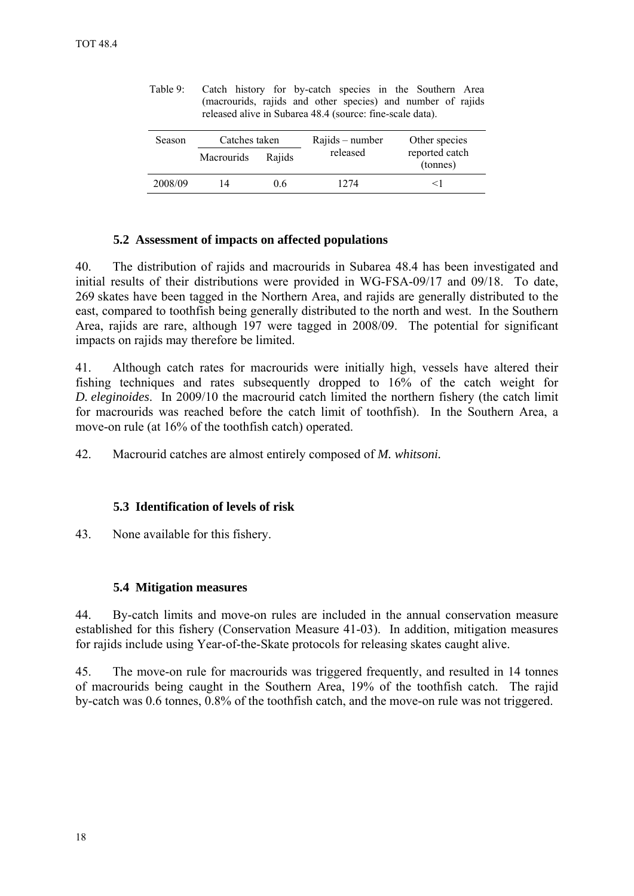| Season  | Catches taken     |        | Rajids – number | Other species              |
|---------|-------------------|--------|-----------------|----------------------------|
|         | <b>Macrourids</b> | Rajids | released        | reported catch<br>(tonnes) |
| 2008/09 | 14                | 0.6    | 1274            | < ।                        |

<span id="page-19-0"></span>Table 9: Catch history for by-catch species in the Southern Area (macrourids, rajids and other species) and number of rajids released alive in Subarea 48.4 (source: fine-scale data).

## **5.2 Assessment of impacts on affected populations**

40. The distribution of rajids and macrourids in Subarea 48.4 has been investigated and initial results of their distributions were provided in WG-FSA-09/17 and 09/18. To date, 269 skates have been tagged in the Northern Area, and rajids are generally distributed to the east, compared to toothfish being generally distributed to the north and west. In the Southern Area, rajids are rare, although 197 were tagged in 2008/09. The potential for significant impacts on rajids may therefore be limited.

41. Although catch rates for macrourids were initially high, vessels have altered their fishing techniques and rates subsequently dropped to 16% of the catch weight for *D. eleginoides*. In 2009/10 the macrourid catch limited the northern fishery (the catch limit for macrourids was reached before the catch limit of toothfish). In the Southern Area, a move-on rule (at 16% of the toothfish catch) operated.

42. Macrourid catches are almost entirely composed of *M. whitsoni.*

# **5.3 Identification of levels of risk**

43. None available for this fishery.

# **5.4 Mitigation measures**

44. By-catch limits and move-on rules are included in the annual conservation measure established for this fishery (Conservation Measure 41-03). In addition, mitigation measures for rajids include using Year-of-the-Skate protocols for releasing skates caught alive.

45. The move-on rule for macrourids was triggered frequently, and resulted in 14 tonnes of macrourids being caught in the Southern Area, 19% of the toothfish catch. The rajid by-catch was 0.6 tonnes, 0.8% of the toothfish catch, and the move-on rule was not triggered.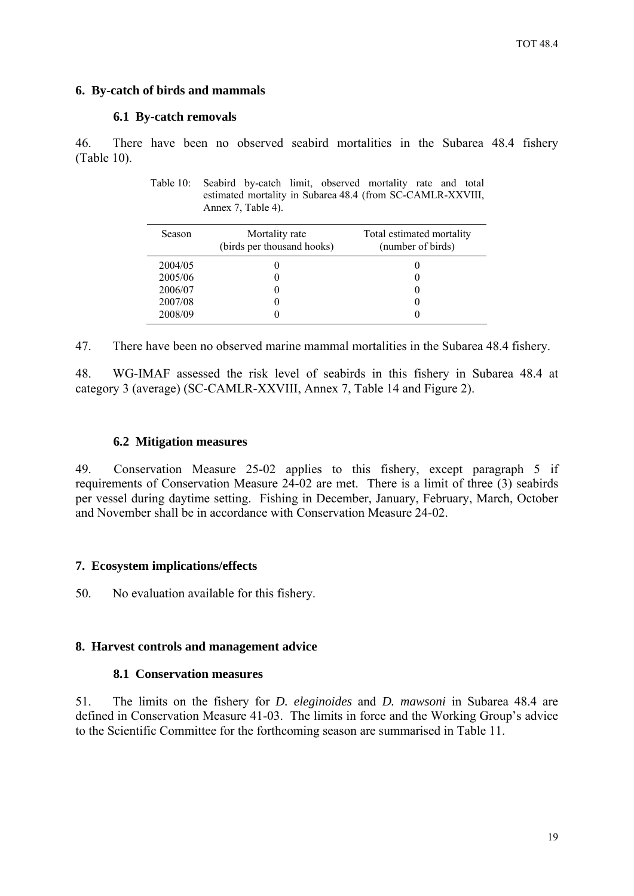# <span id="page-20-0"></span>**6. By-catch of birds and mammals**

### **6.1 By-catch removals**

46. There have been no observed seabird mortalities in the Subarea 48.4 fishery (Table 10).

Table 10: Seabird by-catch limit, observed mortality rate and total estimated mortality in Subarea 48.4 (from SC-CAMLR-XXVIII, Annex 7, Table 4).

| Season  | Mortality rate<br>(birds per thousand hooks) | Total estimated mortality<br>(number of birds) |
|---------|----------------------------------------------|------------------------------------------------|
| 2004/05 |                                              |                                                |
| 2005/06 |                                              |                                                |
| 2006/07 |                                              |                                                |
| 2007/08 |                                              |                                                |
| 2008/09 |                                              |                                                |

47. There have been no observed marine mammal mortalities in the Subarea 48.4 fishery.

48. WG-IMAF assessed the risk level of seabirds in this fishery in Subarea 48.4 at category 3 (average) (SC-CAMLR-XXVIII, Annex 7, Table 14 and Figure 2).

### **6.2 Mitigation measures**

49. Conservation Measure 25-02 applies to this fishery, except paragraph 5 if requirements of Conservation Measure 24-02 are met. There is a limit of three (3) seabirds per vessel during daytime setting. Fishing in December, January, February, March, October and November shall be in accordance with Conservation Measure 24-02.

# **7. Ecosystem implications/effects**

50. No evaluation available for this fishery.

# **8. Harvest controls and management advice**

# **8.1 Conservation measures**

51. The limits on the fishery for *D. eleginoides* and *D. mawsoni* in Subarea 48.4 are defined in Conservation Measure 41-03. The limits in force and the Working Group's advice to the Scientific Committee for the forthcoming season are summarised in Table 11.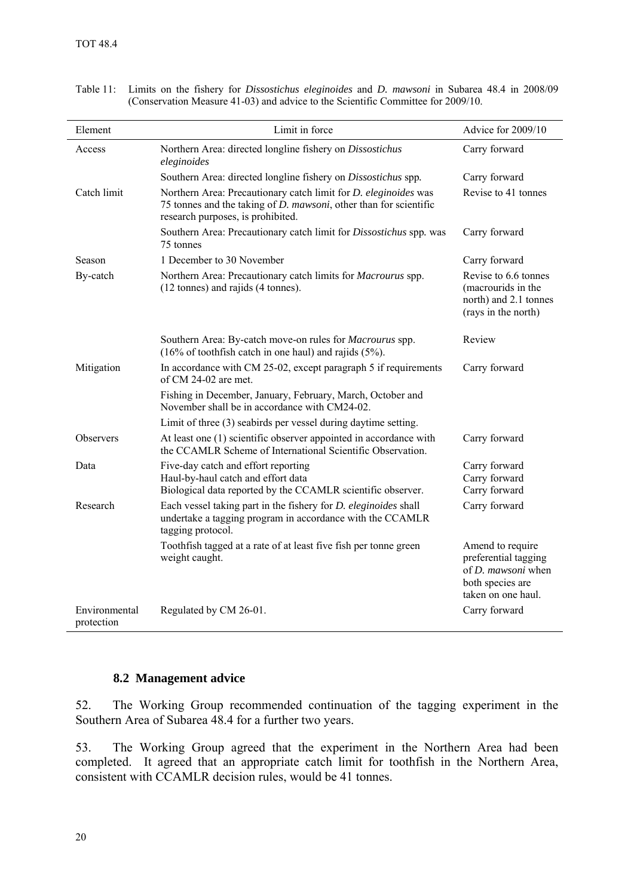| Element                     | Limit in force                                                                                                                                                                           | Advice for 2009/10                                                                                              |
|-----------------------------|------------------------------------------------------------------------------------------------------------------------------------------------------------------------------------------|-----------------------------------------------------------------------------------------------------------------|
| Access                      | Northern Area: directed longline fishery on Dissostichus<br>eleginoides                                                                                                                  | Carry forward                                                                                                   |
|                             | Southern Area: directed longline fishery on Dissostichus spp.                                                                                                                            | Carry forward                                                                                                   |
| Catch limit                 | Northern Area: Precautionary catch limit for <i>D. eleginoides</i> was<br>75 tonnes and the taking of <i>D. mawsoni</i> , other than for scientific<br>research purposes, is prohibited. | Revise to 41 tonnes                                                                                             |
|                             | Southern Area: Precautionary catch limit for Dissostichus spp. was<br>75 tonnes                                                                                                          | Carry forward                                                                                                   |
| Season                      | 1 December to 30 November                                                                                                                                                                | Carry forward                                                                                                   |
| By-catch                    | Northern Area: Precautionary catch limits for Macrourus spp.<br>(12 tonnes) and rajids (4 tonnes).                                                                                       | Revise to 6.6 tonnes<br>(macrourids in the<br>north) and 2.1 tonnes<br>(rays in the north)                      |
|                             | Southern Area: By-catch move-on rules for Macrourus spp.<br>$(16\% \text{ of toothfish catch in one haul})$ and rajids $(5\%)$ .                                                         | Review                                                                                                          |
| Mitigation                  | In accordance with CM 25-02, except paragraph 5 if requirements<br>of CM 24-02 are met.                                                                                                  | Carry forward                                                                                                   |
|                             | Fishing in December, January, February, March, October and<br>November shall be in accordance with CM24-02.                                                                              |                                                                                                                 |
|                             | Limit of three (3) seabirds per vessel during daytime setting.                                                                                                                           |                                                                                                                 |
| Observers                   | At least one (1) scientific observer appointed in accordance with<br>the CCAMLR Scheme of International Scientific Observation.                                                          | Carry forward                                                                                                   |
| Data                        | Five-day catch and effort reporting<br>Haul-by-haul catch and effort data<br>Biological data reported by the CCAMLR scientific observer.                                                 | Carry forward<br>Carry forward<br>Carry forward                                                                 |
| Research                    | Each vessel taking part in the fishery for <i>D. eleginoides</i> shall<br>undertake a tagging program in accordance with the CCAMLR<br>tagging protocol.                                 | Carry forward                                                                                                   |
|                             | Toothfish tagged at a rate of at least five fish per tonne green<br>weight caught.                                                                                                       | Amend to require<br>preferential tagging<br>of <i>D. mawsoni</i> when<br>both species are<br>taken on one haul. |
| Environmental<br>protection | Regulated by CM 26-01.                                                                                                                                                                   | Carry forward                                                                                                   |

<span id="page-21-0"></span>Table 11: Limits on the fishery for *Dissostichus eleginoides* and *D. mawsoni* in Subarea 48.4 in 2008/09 (Conservation Measure 41-03) and advice to the Scientific Committee for 2009/10.

# **8.2 Management advice**

52. The Working Group recommended continuation of the tagging experiment in the Southern Area of Subarea 48.4 for a further two years.

53. The Working Group agreed that the experiment in the Northern Area had been completed. It agreed that an appropriate catch limit for toothfish in the Northern Area, consistent with CCAMLR decision rules, would be 41 tonnes.